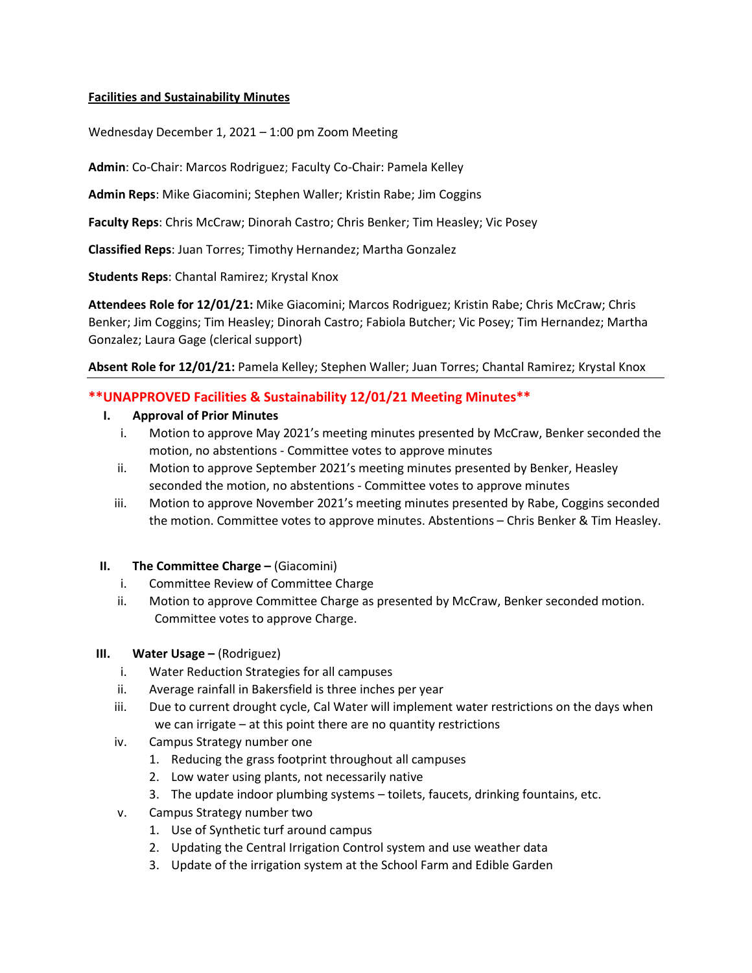## **Facilities and Sustainability Minutes**

Wednesday December 1, 2021 – 1:00 pm Zoom Meeting

**Admin**: Co-Chair: Marcos Rodriguez; Faculty Co-Chair: Pamela Kelley

**Admin Reps**: Mike Giacomini; Stephen Waller; Kristin Rabe; Jim Coggins

**Faculty Reps**: Chris McCraw; Dinorah Castro; Chris Benker; Tim Heasley; Vic Posey

**Classified Reps**: Juan Torres; Timothy Hernandez; Martha Gonzalez

**Students Reps**: Chantal Ramirez; Krystal Knox

**Attendees Role for 12/01/21:** Mike Giacomini; Marcos Rodriguez; Kristin Rabe; Chris McCraw; Chris Benker; Jim Coggins; Tim Heasley; Dinorah Castro; Fabiola Butcher; Vic Posey; Tim Hernandez; Martha Gonzalez; Laura Gage (clerical support)

**Absent Role for 12/01/21:** Pamela Kelley; Stephen Waller; Juan Torres; Chantal Ramirez; Krystal Knox

# **\*\*UNAPPROVED Facilities & Sustainability 12/01/21 Meeting Minutes\*\***

### **I. Approval of Prior Minutes**

- i. Motion to approve May 2021's meeting minutes presented by McCraw, Benker seconded the motion, no abstentions - Committee votes to approve minutes
- ii. Motion to approve September 2021's meeting minutes presented by Benker, Heasley seconded the motion, no abstentions - Committee votes to approve minutes
- iii. Motion to approve November 2021's meeting minutes presented by Rabe, Coggins seconded the motion. Committee votes to approve minutes. Abstentions – Chris Benker & Tim Heasley.

### **II. The Committee Charge –** (Giacomini)

- i. Committee Review of Committee Charge
- ii. Motion to approve Committee Charge as presented by McCraw, Benker seconded motion. Committee votes to approve Charge.

### **III. Water Usage** – (Rodriguez)

- i. Water Reduction Strategies for all campuses
- ii. Average rainfall in Bakersfield is three inches per year
- iii. Due to current drought cycle, Cal Water will implement water restrictions on the days when we can irrigate – at this point there are no quantity restrictions
- iv. Campus Strategy number one
	- 1. Reducing the grass footprint throughout all campuses
	- 2. Low water using plants, not necessarily native
	- 3. The update indoor plumbing systems toilets, faucets, drinking fountains, etc.
- v. Campus Strategy number two
	- 1. Use of Synthetic turf around campus
	- 2. Updating the Central Irrigation Control system and use weather data
	- 3. Update of the irrigation system at the School Farm and Edible Garden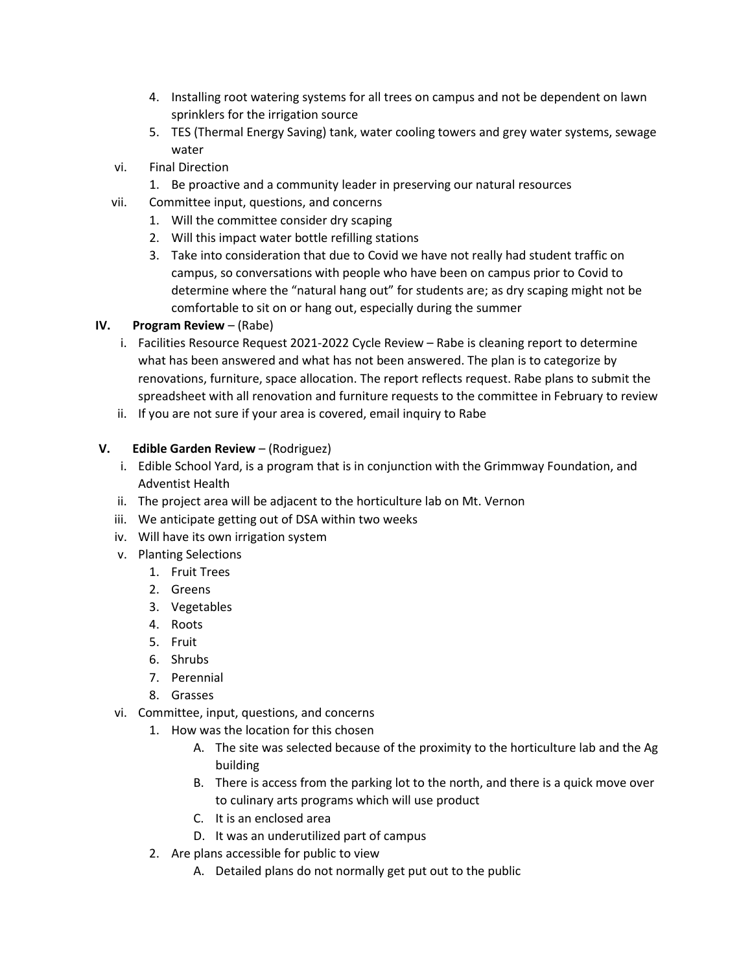- 4. Installing root watering systems for all trees on campus and not be dependent on lawn sprinklers for the irrigation source
- 5. TES (Thermal Energy Saving) tank, water cooling towers and grey water systems, sewage water
- vi. Final Direction
	- 1. Be proactive and a community leader in preserving our natural resources
- vii. Committee input, questions, and concerns
	- 1. Will the committee consider dry scaping
		- 2. Will this impact water bottle refilling stations
		- 3. Take into consideration that due to Covid we have not really had student traffic on campus, so conversations with people who have been on campus prior to Covid to determine where the "natural hang out" for students are; as dry scaping might not be comfortable to sit on or hang out, especially during the summer

# **IV. Program Review** – (Rabe)

- i. Facilities Resource Request 2021-2022 Cycle Review Rabe is cleaning report to determine what has been answered and what has not been answered. The plan is to categorize by renovations, furniture, space allocation. The report reflects request. Rabe plans to submit the spreadsheet with all renovation and furniture requests to the committee in February to review
- ii. If you are not sure if your area is covered, email inquiry to Rabe

# **V. Edible Garden Review** – (Rodriguez)

- i. Edible School Yard, is a program that is in conjunction with the Grimmway Foundation, and Adventist Health
- ii. The project area will be adjacent to the horticulture lab on Mt. Vernon
- iii. We anticipate getting out of DSA within two weeks
- iv. Will have its own irrigation system
- v. Planting Selections
	- 1. Fruit Trees
	- 2. Greens
	- 3. Vegetables
	- 4. Roots
	- 5. Fruit
	- 6. Shrubs
	- 7. Perennial
	- 8. Grasses
- vi. Committee, input, questions, and concerns
	- 1. How was the location for this chosen
		- A. The site was selected because of the proximity to the horticulture lab and the Ag building
		- B. There is access from the parking lot to the north, and there is a quick move over to culinary arts programs which will use product
		- C. It is an enclosed area
		- D. It was an underutilized part of campus
	- 2. Are plans accessible for public to view
		- A. Detailed plans do not normally get put out to the public